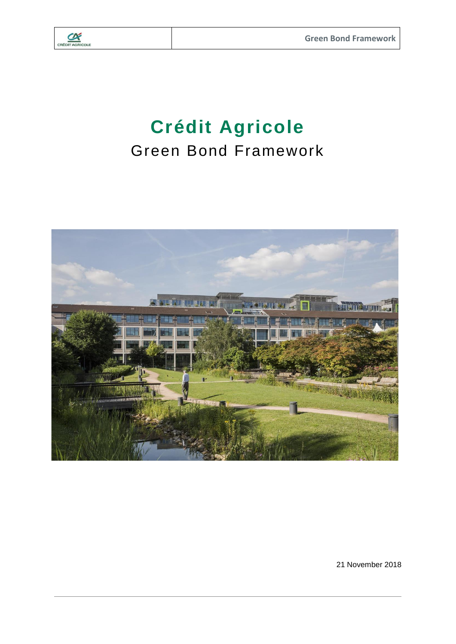

# **Crédit Agricole** Green Bond Framework



21 November 2018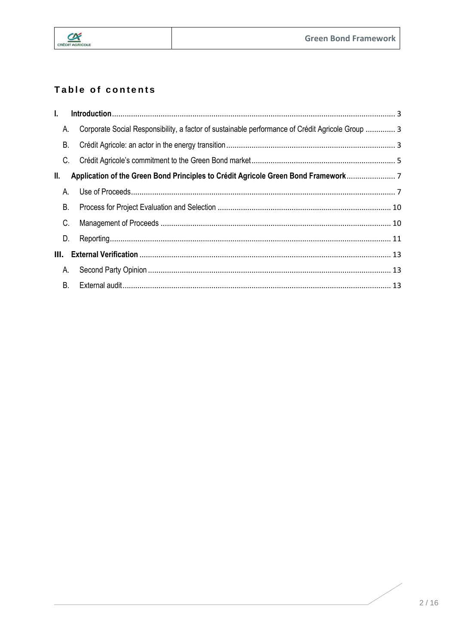

# Table of contents

| L  |           |                                                                                                  |  |
|----|-----------|--------------------------------------------------------------------------------------------------|--|
|    | А.        | Corporate Social Responsibility, a factor of sustainable performance of Crédit Agricole Group  3 |  |
|    | <b>B.</b> |                                                                                                  |  |
|    | C.        |                                                                                                  |  |
| Ш. |           | Application of the Green Bond Principles to Crédit Agricole Green Bond Framework                 |  |
|    | Α.        |                                                                                                  |  |
|    | <b>B.</b> |                                                                                                  |  |
|    | C.        |                                                                                                  |  |
|    | D.        |                                                                                                  |  |
| Ш. |           |                                                                                                  |  |
|    | Α.        |                                                                                                  |  |
|    | <b>B.</b> |                                                                                                  |  |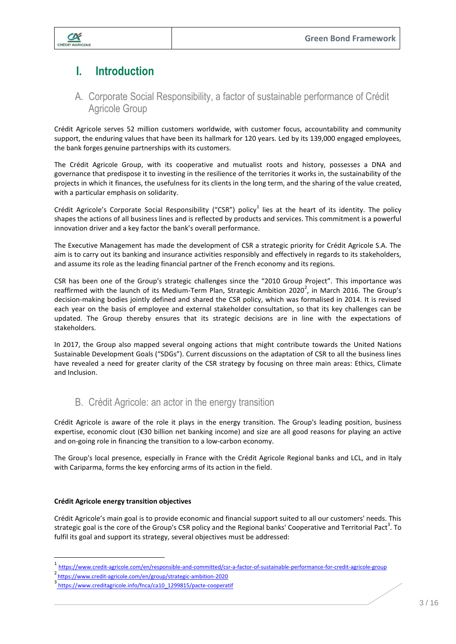

# <span id="page-2-0"></span>**I. Introduction**

## <span id="page-2-1"></span>A. Corporate Social Responsibility, a factor of sustainable performance of Crédit Agricole Group

Crédit Agricole serves 52 million customers worldwide, with customer focus, accountability and community support, the enduring values that have been its hallmark for 120 years. Led by its 139,000 engaged employees, the bank forges genuine partnerships with its customers.

The Crédit Agricole Group, with its cooperative and mutualist roots and history, possesses a DNA and governance that predispose it to investing in the resilience of the territories it works in, the sustainability of the projects in which it finances, the usefulness for its clients in the long term, and the sharing of the value created, with a particular emphasis on solidarity.

Crédit Agricole's Corporate Social Responsibility ("CSR") policy $^1$  lies at the heart of its identity. The policy shapes the actions of all business lines and is reflected by products and services. This commitment is a powerful innovation driver and a key factor the bank's overall performance.

The Executive Management has made the development of CSR a strategic priority for Crédit Agricole S.A. The aim is to carry out its banking and insurance activities responsibly and effectively in regards to its stakeholders, and assume its role as the leading financial partner of the French economy and its regions.

CSR has been one of the Group's strategic challenges since the "2010 Group Project". This importance was reaffirmed with the launch of its Medium-Term Plan, Strategic Ambition 2020<sup>2</sup>, in March 2016. The Group's decision-making bodies jointly defined and shared the CSR policy, which was formalised in 2014. It is revised each year on the basis of employee and external stakeholder consultation, so that its key challenges can be updated. The Group thereby ensures that its strategic decisions are in line with the expectations of stakeholders.

In 2017, the Group also mapped several ongoing actions that might contribute towards the United Nations Sustainable Development Goals ("SDGs"). Current discussions on the adaptation of CSR to all the business lines have revealed a need for greater clarity of the CSR strategy by focusing on three main areas: Ethics, Climate and Inclusion.

# B. Crédit Agricole: an actor in the energy transition

<span id="page-2-2"></span>Crédit Agricole is aware of the role it plays in the energy transition. The Group's leading position, business expertise, economic clout (€30 billion net banking income) and size are all good reasons for playing an active and on-going role in financing the transition to a low-carbon economy.

The Group's local presence, especially in France with the Crédit Agricole Regional banks and LCL, and in Italy with Cariparma, forms the key enforcing arms of its action in the field.

#### **Crédit Agricole energy transition objectives**

 $\overline{\phantom{a}}$ 

Crédit Agricole's main goal is to provide economic and financial support suited to all our customers' needs. This strategic goal is the core of the Group's CSR policy and the Regional banks' Cooperative and Territorial Pact<sup>3</sup>. To fulfil its goal and support its strategy, several objectives must be addressed:

<sup>1&</sup>lt;br><https://www.credit-agricole.com/en/responsible-and-committed/csr-a-factor-of-sustainable-performance-for-credit-agricole-group>

<sup>2&</sup>lt;br>https://www.credit-agricole.com/en/group/strategic-ambition-2020<br>3 https://www.credit-agricole.is/in/face/cr40-4200045/code.com

[https://www.creditagricole.info/fnca/ca10\\_1299815/pacte-cooperatif](https://www.creditagricole.info/fnca/ca10_1299815/pacte-cooperatif)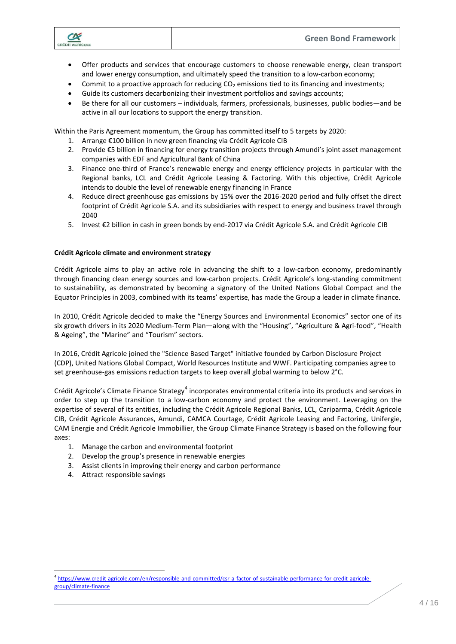

- Offer products and services that encourage customers to choose renewable energy, clean transport and lower energy consumption, and ultimately speed the transition to a low-carbon economy;
- Commit to a proactive approach for reducing  $CO<sub>2</sub>$  emissions tied to its financing and investments;
- Guide its customers decarbonizing their investment portfolios and savings accounts;
- Be there for all our customers individuals, farmers, professionals, businesses, public bodies—and be active in all our locations to support the energy transition.

Within the Paris Agreement momentum, the Group has committed itself to 5 targets by 2020:

- 1. Arrange €100 billion in new green financing via Crédit Agricole CIB
- 2. Provide €5 billion in financing for energy transition projects through Amundi's joint asset management companies with EDF and Agricultural Bank of China
- 3. Finance one-third of France's renewable energy and energy efficiency projects in particular with the Regional banks, LCL and Crédit Agricole Leasing & Factoring. With this objective, Crédit Agricole intends to double the level of renewable energy financing in France
- 4. Reduce direct greenhouse gas emissions by 15% over the 2016-2020 period and fully offset the direct footprint of Crédit Agricole S.A. and its subsidiaries with respect to energy and business travel through 2040
- 5. Invest €2 billion in cash in green bonds by end-2017 via Crédit Agricole S.A. and Crédit Agricole CIB

#### **Crédit Agricole climate and environment strategy**

Crédit Agricole aims to play an active role in advancing the shift to a low-carbon economy, predominantly through financing clean energy sources and low-carbon projects. Crédit Agricole's long-standing commitment to sustainability, as demonstrated by becoming a signatory of the United Nations Global Compact and the Equator Principles in 2003, combined with its teams' expertise, has made the Group a leader in climate finance.

In 2010, Crédit Agricole decided to make the "Energy Sources and Environmental Economics" sector one of its six growth drivers in its 2020 Medium-Term Plan—along with the "Housing", "Agriculture & Agri-food", "Health & Ageing", the "Marine" and "Tourism" sectors.

In 2016, Crédit Agricole joined the "Science Based Target" initiative founded by Carbon Disclosure Project (CDP), United Nations Global Compact, World Resources Institute and WWF. Participating companies agree to set greenhouse-gas emissions reduction targets to keep overall global warming to below 2°C.

Crédit Agricole's Climate Finance Strategy<sup>4</sup> incorporates environmental criteria into its products and services in order to step up the transition to a low-carbon economy and protect the environment. Leveraging on the expertise of several of its entities, including the Crédit Agricole Regional Banks, LCL, Cariparma, Crédit Agricole CIB, Crédit Agricole Assurances, Amundi, CAMCA Courtage, Crédit Agricole Leasing and Factoring, Unifergie, CAM Energie and Crédit Agricole Immobillier, the Group Climate Finance Strategy is based on the following four axes:

- 1. Manage the carbon and environmental footprint
- 2. Develop the group's presence in renewable energies
- 3. Assist clients in improving their energy and carbon performance
- 4. Attract responsible savings

 $\overline{a}$ 

<sup>4</sup> [https://www.credit-agricole.com/en/responsible-and-committed/csr-a-factor-of-sustainable-performance-for-credit-agricole](https://www.credit-agricole.com/en/responsible-and-committed/csr-a-factor-of-sustainable-performance-for-credit-agricole-group/climate-finance)[group/climate-finance](https://www.credit-agricole.com/en/responsible-and-committed/csr-a-factor-of-sustainable-performance-for-credit-agricole-group/climate-finance)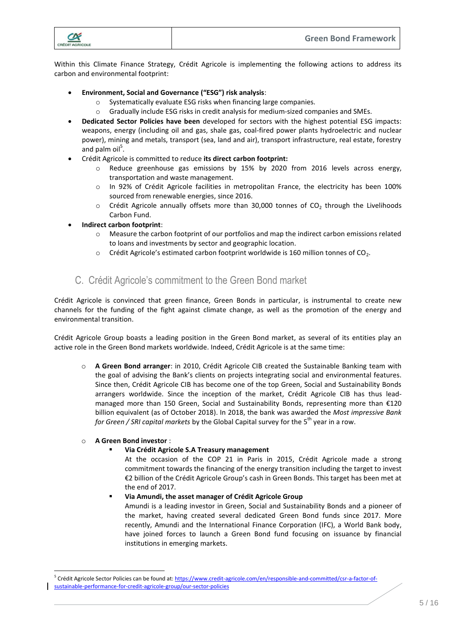

Within this Climate Finance Strategy, Crédit Agricole is implementing the following actions to address its carbon and environmental footprint:

- **Environment, Social and Governance ("ESG") risk analysis**:
	- o Systematically evaluate ESG risks when financing large companies.
	- $\circ$  Gradually include ESG risks in credit analysis for medium-sized companies and SMEs.
- **Dedicated Sector Policies have been** developed for sectors with the highest potential ESG impacts: weapons, energy (including oil and gas, shale gas, coal-fired power plants hydroelectric and nuclear power), mining and metals, transport (sea, land and air), transport infrastructure, real estate, forestry and palm oil<sup>5</sup>.
- Crédit Agricole is committed to reduce **its direct carbon footprint:**
	- o Reduce greenhouse gas emissions by 15% by 2020 from 2016 levels across energy, transportation and waste management.
	- o In 92% of Crédit Agricole facilities in metropolitan France, the electricity has been 100% sourced from renewable energies, since 2016.
	- $\circ$  Crédit Agricole annually offsets more than 30,000 tonnes of CO<sub>2</sub> through the Livelihoods Carbon Fund.
- **Indirect carbon footprint**:
	- $\circ$  Measure the carbon footprint of our portfolios and map the indirect carbon emissions related to loans and investments by sector and geographic location.
	- $\circ$  Crédit Agricole's estimated carbon footprint worldwide is 160 million tonnes of CO<sub>2</sub>.

#### C. Crédit Agricole's commitment to the Green Bond market

<span id="page-4-0"></span>Crédit Agricole is convinced that green finance, Green Bonds in particular, is instrumental to create new channels for the funding of the fight against climate change, as well as the promotion of the energy and environmental transition.

Crédit Agricole Group boasts a leading position in the Green Bond market, as several of its entities play an active role in the Green Bond markets worldwide. Indeed, Crédit Agricole is at the same time:

o **A Green Bond arranger**: in 2010, Crédit Agricole CIB created the Sustainable Banking team with the goal of advising the Bank's clients on projects integrating social and environmental features. Since then, Crédit Agricole CIB has become one of the top Green, Social and Sustainability Bonds arrangers worldwide. Since the inception of the market, Crédit Agricole CIB has thus leadmanaged more than 150 Green, Social and Sustainability Bonds, representing more than €120 billion equivalent (as of October 2018). In 2018, the bank was awarded the *Most impressive Bank for Green / SRI capital markets* by the Global Capital survey for the 5<sup>th</sup> year in a row.

#### o **A Green Bond investor** :

 $\overline{a}$ 

#### **Via Crédit Agricole S.A Treasury management**

At the occasion of the COP 21 in Paris in 2015, Crédit Agricole made a strong commitment towards the financing of the energy transition including the target to invest €2 billion of the Crédit Agricole Group's cash in Green Bonds. This target has been met at the end of 2017.

#### **Via Amundi, the asset manager of Crédit Agricole Group**

Amundi is a leading investor in Green, Social and Sustainability Bonds and a pioneer of the market, having created several dedicated Green Bond funds since 2017. More recently, Amundi and the International Finance Corporation (IFC), a World Bank body, have joined forces to launch a Green Bond fund focusing on issuance by financial institutions in emerging markets.

<sup>&</sup>lt;sup>5</sup> Crédit Agricole Sector Policies can be found at: [https://www.credit-agricole.com/en/responsible-and-committed/csr-a-factor-of](https://www.credit-agricole.com/en/responsible-and-committed/csr-a-factor-of-sustainable-performance-for-credit-agricole-group/our-sector-policies)[sustainable-performance-for-credit-agricole-group/our-sector-policies](https://www.credit-agricole.com/en/responsible-and-committed/csr-a-factor-of-sustainable-performance-for-credit-agricole-group/our-sector-policies)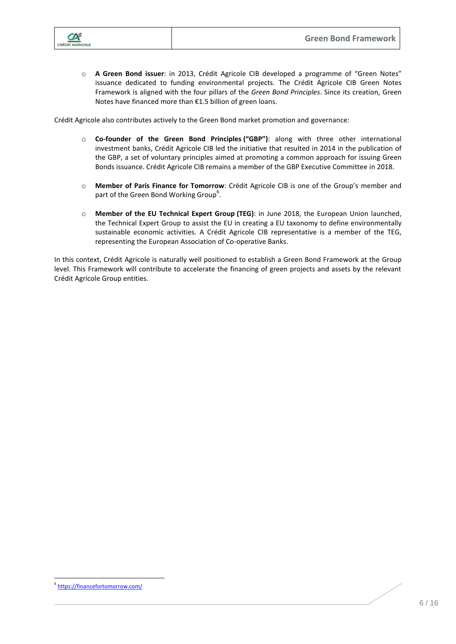

o **A Green Bond issuer**: in 2013, Crédit Agricole CIB developed a programme of "Green Notes" issuance dedicated to funding environmental projects. The Crédit Agricole CIB Green Notes Framework is aligned with the four pillars of the *Green Bond Principles*. Since its creation, Green Notes have financed more than €1.5 billion of green loans.

Crédit Agricole also contributes actively to the Green Bond market promotion and governance:

- o **Co-founder of the Green Bond Principles ("GBP")**: along with three other international investment banks, Crédit Agricole CIB led the initiative that resulted in 2014 in the publication of the GBP, a set of voluntary principles aimed at promoting a common approach for issuing Green Bonds issuance. Crédit Agricole CIB remains a member of the GBP Executive Committee in 2018.
- o **Member of Paris Finance for Tomorrow**: Crédit Agricole CIB is one of the Group's member and part of the Green Bond Working Group<sup>6</sup>.
- o **Member of the EU Technical Expert Group (TEG)**: in June 2018, the European Union launched, the Technical Expert Group to assist the EU in creating a EU taxonomy to define environmentally sustainable economic activities. A Crédit Agricole CIB representative is a member of the TEG, representing the European Association of Co-operative Banks.

In this context, Crédit Agricole is naturally well positioned to establish a Green Bond Framework at the Group level. This Framework will contribute to accelerate the financing of green projects and assets by the relevant Crédit Agricole Group entities.

 $\overline{a}$ 6 <https://financefortomorrow.com/>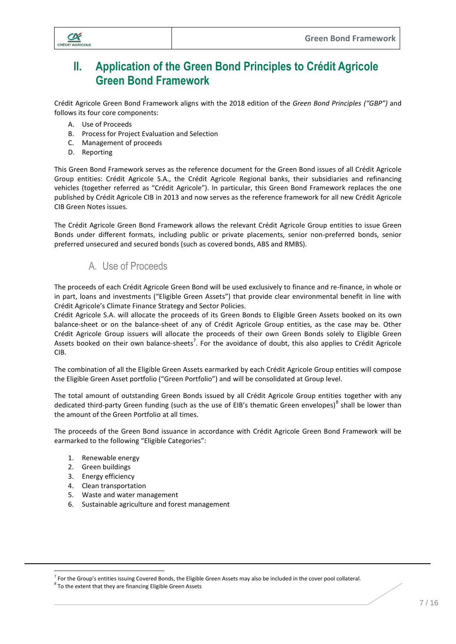

# <span id="page-6-0"></span>**II. Application of the Green Bond Principles to Crédit Agricole Green Bond Framework**

Crédit Agricole Green Bond Framework aligns with the 2018 edition of the *Green Bond Principles ("GBP")* and follows its four core components:

- A. Use of Proceeds
- B. Process for Project Evaluation and Selection
- C. Management of proceeds
- D. Reporting

This Green Bond Framework serves as the reference document for the Green Bond issues of all Crédit Agricole Group entities: Crédit Agricole S.A., the Crédit Agricole Regional banks, their subsidiaries and refinancing vehicles (together referred as "Crédit Agricole"). In particular, this Green Bond Framework replaces the one published by Crédit Agricole CIB in 2013 and now serves as the reference framework for all new Crédit Agricole CIB Green Notes issues.

The Crédit Agricole Green Bond Framework allows the relevant Crédit Agricole Group entities to issue Green Bonds under different formats, including public or private placements, senior non-preferred bonds, senior preferred unsecured and secured bonds (such as covered bonds, ABS and RMBS).

#### A. Use of Proceeds

<span id="page-6-1"></span>The proceeds of each Crédit Agricole Green Bond will be used exclusively to finance and re-finance, in whole or in part, loans and investments ("Eligible Green Assets") that provide clear environmental benefit in line with Crédit Agricole's Climate Finance Strategy and Sector Policies.

Crédit Agricole S.A. will allocate the proceeds of its Green Bonds to Eligible Green Assets booked on its own balance-sheet or on the balance-sheet of any of Crédit Agricole Group entities, as the case may be. Other Crédit Agricole Group issuers will allocate the proceeds of their own Green Bonds solely to Eligible Green Assets booked on their own balance-sheets<sup>7</sup>. For the avoidance of doubt, this also applies to Crédit Agricole CIB.

The combination of all the Eligible Green Assets earmarked by each Crédit Agricole Group entities will compose the Eligible Green Asset portfolio ("Green Portfolio") and will be consolidated at Group level.

The total amount of outstanding Green Bonds issued by all Crédit Agricole Group entities together with any dedicated third-party Green funding (such as the use of EIB's thematic Green envelopes)<sup>8</sup> shall be lower than the amount of the Green Portfolio at all times.

The proceeds of the Green Bond issuance in accordance with Crédit Agricole Green Bond Framework will be earmarked to the following "Eligible Categories":

- 1. Renewable energy
- 2. Green buildings

 $\overline{a}$ 

- 3. Energy efficiency
- 4. Clean transportation
- 5. Waste and water management
- 6. Sustainable agriculture and forest management

<sup>&</sup>lt;sup>7</sup> For the Group's entities issuing Covered Bonds, the Eligible Green Assets may also be included in the cover pool collateral.

 ${}^{8}$  To the extent that they are financing Eligible Green Assets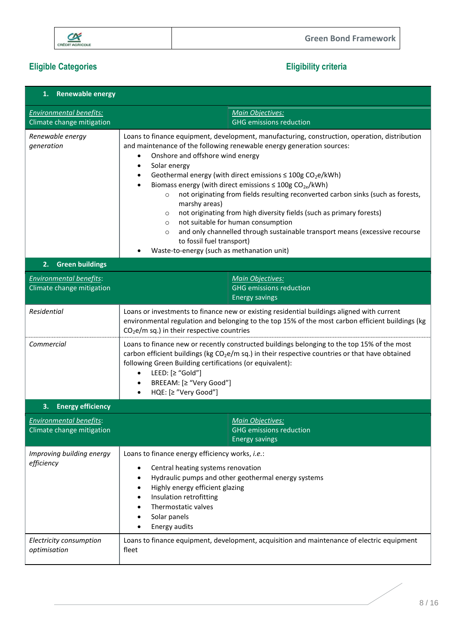

# **Eligible Categories Eligibility criteria**

| 1. Renewable energy                                         |                                                                                                                                                                                                                                                                                                                                                                                                                                                                                                             |                                                                                                                                                                                                                                                                                                                                          |  |  |
|-------------------------------------------------------------|-------------------------------------------------------------------------------------------------------------------------------------------------------------------------------------------------------------------------------------------------------------------------------------------------------------------------------------------------------------------------------------------------------------------------------------------------------------------------------------------------------------|------------------------------------------------------------------------------------------------------------------------------------------------------------------------------------------------------------------------------------------------------------------------------------------------------------------------------------------|--|--|
| <b>Environmental benefits:</b><br>Climate change mitigation | Main Objectives:                                                                                                                                                                                                                                                                                                                                                                                                                                                                                            | <b>GHG emissions reduction</b>                                                                                                                                                                                                                                                                                                           |  |  |
| Renewable energy<br>generation                              | and maintenance of the following renewable energy generation sources:<br>Onshore and offshore wind energy<br>$\bullet$<br>Solar energy<br>$\bullet$<br>Geothermal energy (with direct emissions $\leq 100$ g CO <sub>2</sub> e/kWh)<br>$\bullet$<br>Biomass energy (with direct emissions $\leq 100$ g CO <sub>2e</sub> /kWh)<br>$\circ$<br>marshy areas)<br>$\circ$<br>not suitable for human consumption<br>$\circ$<br>$\circ$<br>to fossil fuel transport)<br>Waste-to-energy (such as methanation unit) | Loans to finance equipment, development, manufacturing, construction, operation, distribution<br>not originating from fields resulting reconverted carbon sinks (such as forests,<br>not originating from high diversity fields (such as primary forests)<br>and only channelled through sustainable transport means (excessive recourse |  |  |
| <b>Green buildings</b><br>2.                                |                                                                                                                                                                                                                                                                                                                                                                                                                                                                                                             |                                                                                                                                                                                                                                                                                                                                          |  |  |
| <b>Environmental benefits:</b><br>Climate change mitigation | Main Objectives:<br><b>Energy savings</b>                                                                                                                                                                                                                                                                                                                                                                                                                                                                   | <b>GHG emissions reduction</b>                                                                                                                                                                                                                                                                                                           |  |  |
| Residential                                                 | Loans or investments to finance new or existing residential buildings aligned with current<br>environmental regulation and belonging to the top 15% of the most carbon efficient buildings (kg<br>$CO2e/m$ sq.) in their respective countries                                                                                                                                                                                                                                                               |                                                                                                                                                                                                                                                                                                                                          |  |  |
| Commercial                                                  | Loans to finance new or recently constructed buildings belonging to the top 15% of the most<br>carbon efficient buildings (kg $CO2e/m$ sq.) in their respective countries or that have obtained<br>following Green Building certifications (or equivalent):<br>LEED: $[≥ "Gold"]$<br>$\bullet$<br>BREEAM: [≥ "Very Good"]<br>HQE: [≥ "Very Good"]                                                                                                                                                           |                                                                                                                                                                                                                                                                                                                                          |  |  |
| <b>Energy efficiency</b><br>3.                              |                                                                                                                                                                                                                                                                                                                                                                                                                                                                                                             |                                                                                                                                                                                                                                                                                                                                          |  |  |
| <b>Environmental benefits:</b><br>Climate change mitigation | <b>Main Objectives:</b><br><b>Energy savings</b>                                                                                                                                                                                                                                                                                                                                                                                                                                                            | <b>GHG emissions reduction</b>                                                                                                                                                                                                                                                                                                           |  |  |
| Improving building energy<br>efficiency                     | Loans to finance energy efficiency works, i.e.:<br>Central heating systems renovation<br>Hydraulic pumps and other geothermal energy systems<br>٠<br>Highly energy efficient glazing<br>٠<br>Insulation retrofitting<br>Thermostatic valves<br>Solar panels<br>Energy audits                                                                                                                                                                                                                                |                                                                                                                                                                                                                                                                                                                                          |  |  |
| Electricity consumption<br>optimisation                     | fleet                                                                                                                                                                                                                                                                                                                                                                                                                                                                                                       | Loans to finance equipment, development, acquisition and maintenance of electric equipment                                                                                                                                                                                                                                               |  |  |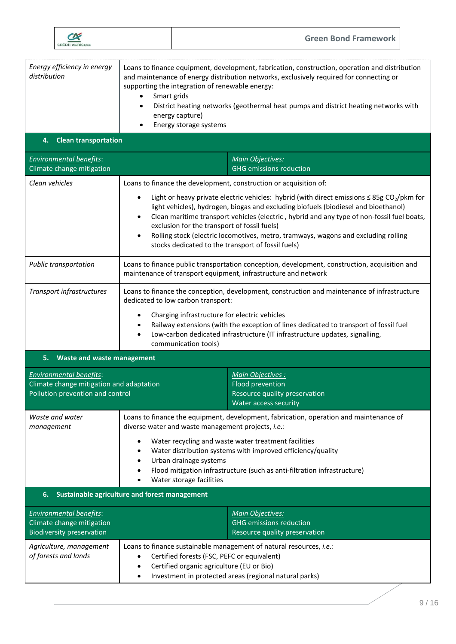|                                                                                                                |                                                                                                                                                                                                                                                                                                                                                                                                                                                                                                                                                                                             | <b>Green Bond Framework</b>                                                                                                                                                                                                                                                      |  |  |  |
|----------------------------------------------------------------------------------------------------------------|---------------------------------------------------------------------------------------------------------------------------------------------------------------------------------------------------------------------------------------------------------------------------------------------------------------------------------------------------------------------------------------------------------------------------------------------------------------------------------------------------------------------------------------------------------------------------------------------|----------------------------------------------------------------------------------------------------------------------------------------------------------------------------------------------------------------------------------------------------------------------------------|--|--|--|
| Energy efficiency in energy<br>distribution                                                                    | supporting the integration of renewable energy:<br>Smart grids<br>٠<br>energy capture)<br>Energy storage systems                                                                                                                                                                                                                                                                                                                                                                                                                                                                            | Loans to finance equipment, development, fabrication, construction, operation and distribution<br>and maintenance of energy distribution networks, exclusively required for connecting or<br>District heating networks (geothermal heat pumps and district heating networks with |  |  |  |
| 4. Clean transportation                                                                                        |                                                                                                                                                                                                                                                                                                                                                                                                                                                                                                                                                                                             |                                                                                                                                                                                                                                                                                  |  |  |  |
| <b>Environmental benefits:</b><br>Climate change mitigation                                                    |                                                                                                                                                                                                                                                                                                                                                                                                                                                                                                                                                                                             | <b>Main Objectives:</b><br><b>GHG</b> emissions reduction                                                                                                                                                                                                                        |  |  |  |
| Clean vehicles                                                                                                 | Loans to finance the development, construction or acquisition of:<br>Light or heavy private electric vehicles: hybrid (with direct emissions $\leq$ 85g CO <sub>2</sub> /pkm for<br>light vehicles), hydrogen, biogas and excluding biofuels (biodiesel and bioethanol)<br>Clean maritime transport vehicles (electric, hybrid and any type of non-fossil fuel boats,<br>$\bullet$<br>exclusion for the transport of fossil fuels)<br>Rolling stock (electric locomotives, metro, tramways, wagons and excluding rolling<br>$\bullet$<br>stocks dedicated to the transport of fossil fuels) |                                                                                                                                                                                                                                                                                  |  |  |  |
| Public transportation                                                                                          | Loans to finance public transportation conception, development, construction, acquisition and<br>maintenance of transport equipment, infrastructure and network                                                                                                                                                                                                                                                                                                                                                                                                                             |                                                                                                                                                                                                                                                                                  |  |  |  |
| Transport infrastructures                                                                                      | dedicated to low carbon transport:<br>Charging infrastructure for electric vehicles<br>communication tools)                                                                                                                                                                                                                                                                                                                                                                                                                                                                                 | Loans to finance the conception, development, construction and maintenance of infrastructure<br>Railway extensions (with the exception of lines dedicated to transport of fossil fuel<br>Low-carbon dedicated infrastructure (IT infrastructure updates, signalling,             |  |  |  |
| 5. Waste and waste management                                                                                  |                                                                                                                                                                                                                                                                                                                                                                                                                                                                                                                                                                                             |                                                                                                                                                                                                                                                                                  |  |  |  |
| <b>Environmental benefits:</b><br>Climate change mitigation and adaptation<br>Pollution prevention and control |                                                                                                                                                                                                                                                                                                                                                                                                                                                                                                                                                                                             | Main Objectives:<br>Flood prevention<br>Resource quality preservation<br>Water access security                                                                                                                                                                                   |  |  |  |
| Waste and water<br>management                                                                                  | Loans to finance the equipment, development, fabrication, operation and maintenance of<br>diverse water and waste management projects, i.e.:<br>Water recycling and waste water treatment facilities<br>Water distribution systems with improved efficiency/quality<br>Urban drainage systems<br>$\bullet$<br>Flood mitigation infrastructure (such as anti-filtration infrastructure)<br>$\bullet$<br>Water storage facilities                                                                                                                                                             |                                                                                                                                                                                                                                                                                  |  |  |  |
| Sustainable agriculture and forest management<br>6.                                                            |                                                                                                                                                                                                                                                                                                                                                                                                                                                                                                                                                                                             |                                                                                                                                                                                                                                                                                  |  |  |  |
| <b>Environmental benefits:</b><br>Climate change mitigation<br><b>Biodiversity preservation</b>                |                                                                                                                                                                                                                                                                                                                                                                                                                                                                                                                                                                                             | <b>Main Objectives:</b><br><b>GHG</b> emissions reduction<br>Resource quality preservation                                                                                                                                                                                       |  |  |  |
| Agriculture, management<br>of forests and lands                                                                | Loans to finance sustainable management of natural resources, i.e.:<br>Certified forests (FSC, PEFC or equivalent)<br>$\bullet$<br>Certified organic agriculture (EU or Bio)<br>$\bullet$<br>Investment in protected areas (regional natural parks)<br>$\bullet$                                                                                                                                                                                                                                                                                                                            |                                                                                                                                                                                                                                                                                  |  |  |  |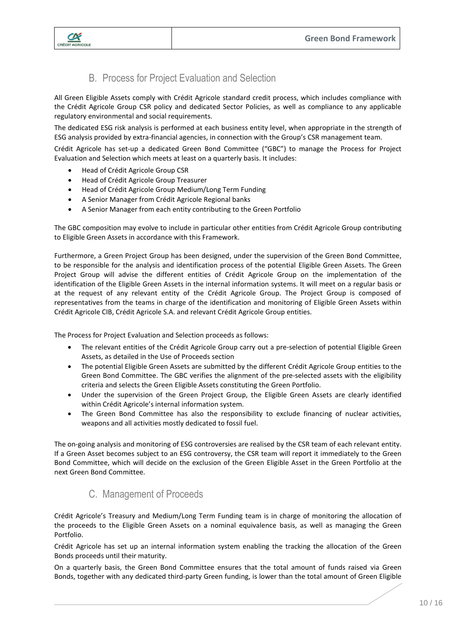

# B. Process for Project Evaluation and Selection

<span id="page-9-0"></span>All Green Eligible Assets comply with Crédit Agricole standard credit process, which includes compliance with the Crédit Agricole Group CSR policy and dedicated Sector Policies, as well as compliance to any applicable regulatory environmental and social requirements.

The dedicated ESG risk analysis is performed at each business entity level, when appropriate in the strength of ESG analysis provided by extra-financial agencies, in connection with the Group's CSR management team.

Crédit Agricole has set-up a dedicated Green Bond Committee ("GBC") to manage the Process for Project Evaluation and Selection which meets at least on a quarterly basis. It includes:

- Head of Crédit Agricole Group CSR
- Head of Crédit Agricole Group Treasurer
- Head of Crédit Agricole Group Medium/Long Term Funding
- A Senior Manager from Crédit Agricole Regional banks
- A Senior Manager from each entity contributing to the Green Portfolio

The GBC composition may evolve to include in particular other entities from Crédit Agricole Group contributing to Eligible Green Assets in accordance with this Framework.

Furthermore, a Green Project Group has been designed, under the supervision of the Green Bond Committee, to be responsible for the analysis and identification process of the potential Eligible Green Assets. The Green Project Group will advise the different entities of Crédit Agricole Group on the implementation of the identification of the Eligible Green Assets in the internal information systems. It will meet on a regular basis or at the request of any relevant entity of the Crédit Agricole Group. The Project Group is composed of representatives from the teams in charge of the identification and monitoring of Eligible Green Assets within Crédit Agricole CIB, Crédit Agricole S.A. and relevant Crédit Agricole Group entities.

The Process for Project Evaluation and Selection proceeds as follows:

- The relevant entities of the Crédit Agricole Group carry out a pre-selection of potential Eligible Green Assets, as detailed in the Use of Proceeds section
- The potential Eligible Green Assets are submitted by the different Crédit Agricole Group entities to the Green Bond Committee. The GBC verifies the alignment of the pre-selected assets with the eligibility criteria and selects the Green Eligible Assets constituting the Green Portfolio.
- Under the supervision of the Green Project Group, the Eligible Green Assets are clearly identified within Crédit Agricole's internal information system.
- The Green Bond Committee has also the responsibility to exclude financing of nuclear activities, weapons and all activities mostly dedicated to fossil fuel.

The on-going analysis and monitoring of ESG controversies are realised by the CSR team of each relevant entity. If a Green Asset becomes subject to an ESG controversy, the CSR team will report it immediately to the Green Bond Committee, which will decide on the exclusion of the Green Eligible Asset in the Green Portfolio at the next Green Bond Committee.

#### C. Management of Proceeds

<span id="page-9-1"></span>Crédit Agricole's Treasury and Medium/Long Term Funding team is in charge of monitoring the allocation of the proceeds to the Eligible Green Assets on a nominal equivalence basis, as well as managing the Green Portfolio.

Crédit Agricole has set up an internal information system enabling the tracking the allocation of the Green Bonds proceeds until their maturity.

On a quarterly basis, the Green Bond Committee ensures that the total amount of funds raised via Green Bonds, together with any dedicated third-party Green funding, is lower than the total amount of Green Eligible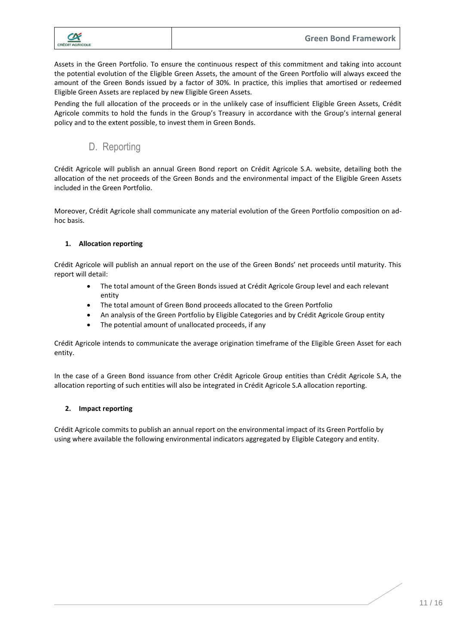

Assets in the Green Portfolio. To ensure the continuous respect of this commitment and taking into account the potential evolution of the Eligible Green Assets, the amount of the Green Portfolio will always exceed the amount of the Green Bonds issued by a factor of 30%. In practice, this implies that amortised or redeemed Eligible Green Assets are replaced by new Eligible Green Assets.

Pending the full allocation of the proceeds or in the unlikely case of insufficient Eligible Green Assets, Crédit Agricole commits to hold the funds in the Group's Treasury in accordance with the Group's internal general policy and to the extent possible, to invest them in Green Bonds.

# D. Reporting

<span id="page-10-0"></span>Crédit Agricole will publish an annual Green Bond report on Crédit Agricole S.A. website, detailing both the allocation of the net proceeds of the Green Bonds and the environmental impact of the Eligible Green Assets included in the Green Portfolio.

Moreover, Crédit Agricole shall communicate any material evolution of the Green Portfolio composition on adhoc basis.

#### **1. Allocation reporting**

Crédit Agricole will publish an annual report on the use of the Green Bonds' net proceeds until maturity. This report will detail:

- The total amount of the Green Bonds issued at Crédit Agricole Group level and each relevant entity
- The total amount of Green Bond proceeds allocated to the Green Portfolio
- An analysis of the Green Portfolio by Eligible Categories and by Crédit Agricole Group entity
- The potential amount of unallocated proceeds, if any

Crédit Agricole intends to communicate the average origination timeframe of the Eligible Green Asset for each entity.

In the case of a Green Bond issuance from other Crédit Agricole Group entities than Crédit Agricole S.A, the allocation reporting of such entities will also be integrated in Crédit Agricole S.A allocation reporting.

#### **2. Impact reporting**

Crédit Agricole commits to publish an annual report on the environmental impact of its Green Portfolio by using where available the following environmental indicators aggregated by Eligible Category and entity.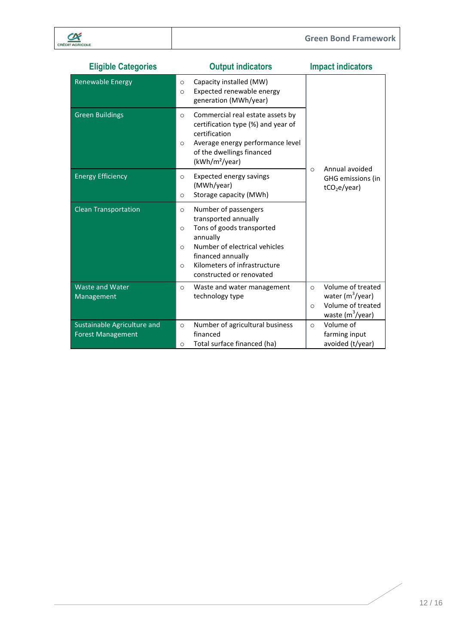| <b>Eligible Categories</b>                              | <b>Output indicators</b>                                                                                                                                                                                                                              | <b>Impact indicators</b>                                                                                     |
|---------------------------------------------------------|-------------------------------------------------------------------------------------------------------------------------------------------------------------------------------------------------------------------------------------------------------|--------------------------------------------------------------------------------------------------------------|
| <b>Renewable Energy</b>                                 | Capacity installed (MW)<br>$\circ$<br>Expected renewable energy<br>$\circ$<br>generation (MWh/year)                                                                                                                                                   |                                                                                                              |
| <b>Green Buildings</b>                                  | Commercial real estate assets by<br>$\circ$<br>certification type (%) and year of<br>certification<br>Average energy performance level<br>$\circ$<br>of the dwellings financed<br>(kWh/m <sup>2</sup> /year)                                          | Annual avoided                                                                                               |
| <b>Energy Efficiency</b>                                | <b>Expected energy savings</b><br>$\circ$<br>(MWh/year)<br>Storage capacity (MWh)<br>$\circ$                                                                                                                                                          | $\circ$<br>GHG emissions (in<br>tCO <sub>2</sub> e/year)                                                     |
| <b>Clean Transportation</b>                             | Number of passengers<br>$\circ$<br>transported annually<br>Tons of goods transported<br>$\circ$<br>annually<br>Number of electrical vehicles<br>$\Omega$<br>financed annually<br>Kilometers of infrastructure<br>$\Omega$<br>constructed or renovated |                                                                                                              |
| <b>Waste and Water</b><br>Management                    | Waste and water management<br>$\circ$<br>technology type                                                                                                                                                                                              | Volume of treated<br>$\Omega$<br>water $(m^3$ /year)<br>Volume of treated<br>$\Omega$<br>waste $(m^3$ /year) |
| Sustainable Agriculture and<br><b>Forest Management</b> | Number of agricultural business<br>$\circ$<br>financed<br>Total surface financed (ha)<br>$\circ$                                                                                                                                                      | Volume of<br>$\Omega$<br>farming input<br>avoided (t/year)                                                   |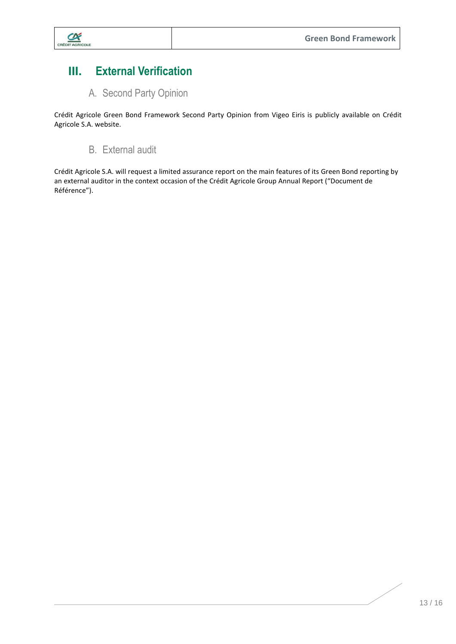

# <span id="page-12-0"></span>**III. External Verification**

A. Second Party Opinion

<span id="page-12-1"></span>Crédit Agricole Green Bond Framework Second Party Opinion from Vigeo Eiris is publicly available on Crédit Agricole S.A. website.

# B. External audit

<span id="page-12-2"></span>Crédit Agricole S.A. will request a limited assurance report on the main features of its Green Bond reporting by an external auditor in the context occasion of the Crédit Agricole Group Annual Report ("Document de Référence").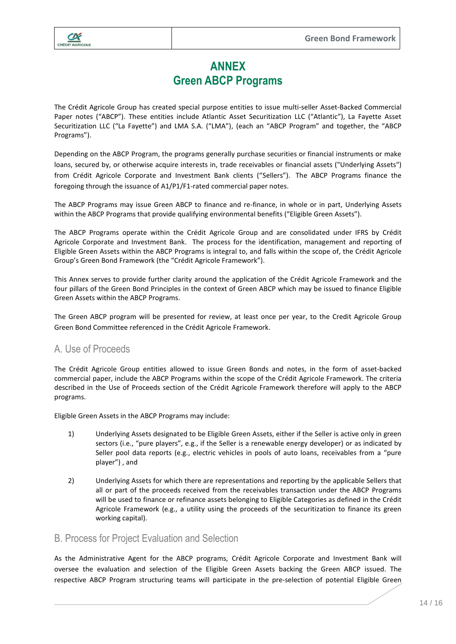

# **ANNEX Green ABCP Programs**

The Crédit Agricole Group has created special purpose entities to issue multi-seller Asset-Backed Commercial Paper notes ("ABCP"). These entities include Atlantic Asset Securitization LLC ("Atlantic"), La Fayette Asset Securitization LLC ("La Fayette") and LMA S.A. ("LMA"), (each an "ABCP Program" and together, the "ABCP Programs").

Depending on the ABCP Program, the programs generally purchase securities or financial instruments or make loans, secured by, or otherwise acquire interests in, trade receivables or financial assets ("Underlying Assets") from Crédit Agricole Corporate and Investment Bank clients ("Sellers"). The ABCP Programs finance the foregoing through the issuance of A1/P1/F1-rated commercial paper notes.

The ABCP Programs may issue Green ABCP to finance and re-finance, in whole or in part, Underlying Assets within the ABCP Programs that provide qualifying environmental benefits ("Eligible Green Assets").

The ABCP Programs operate within the Crédit Agricole Group and are consolidated under IFRS by Crédit Agricole Corporate and Investment Bank. The process for the identification, management and reporting of Eligible Green Assets within the ABCP Programs is integral to, and falls within the scope of, the Crédit Agricole Group's Green Bond Framework (the "Crédit Agricole Framework").

This Annex serves to provide further clarity around the application of the Crédit Agricole Framework and the four pillars of the Green Bond Principles in the context of Green ABCP which may be issued to finance Eligible Green Assets within the ABCP Programs.

The Green ABCP program will be presented for review, at least once per year, to the Credit Agricole Group Green Bond Committee referenced in the Crédit Agricole Framework.

#### A. Use of Proceeds

The Crédit Agricole Group entities allowed to issue Green Bonds and notes, in the form of asset-backed commercial paper, include the ABCP Programs within the scope of the Crédit Agricole Framework. The criteria described in the Use of Proceeds section of the Crédit Agricole Framework therefore will apply to the ABCP programs.

Eligible Green Assets in the ABCP Programs may include:

- 1) Underlying Assets designated to be Eligible Green Assets, either if the Seller is active only in green sectors (i.e., "pure players", e.g., if the Seller is a renewable energy developer) or as indicated by Seller pool data reports (e.g., electric vehicles in pools of auto loans, receivables from a "pure player") , and
- 2) Underlying Assets for which there are representations and reporting by the applicable Sellers that all or part of the proceeds received from the receivables transaction under the ABCP Programs will be used to finance or refinance assets belonging to Eligible Categories as defined in the Crédit Agricole Framework (e.g., a utility using the proceeds of the securitization to finance its green working capital).

#### B. Process for Project Evaluation and Selection

As the Administrative Agent for the ABCP programs, Crédit Agricole Corporate and Investment Bank will oversee the evaluation and selection of the Eligible Green Assets backing the Green ABCP issued. The respective ABCP Program structuring teams will participate in the pre-selection of potential Eligible Green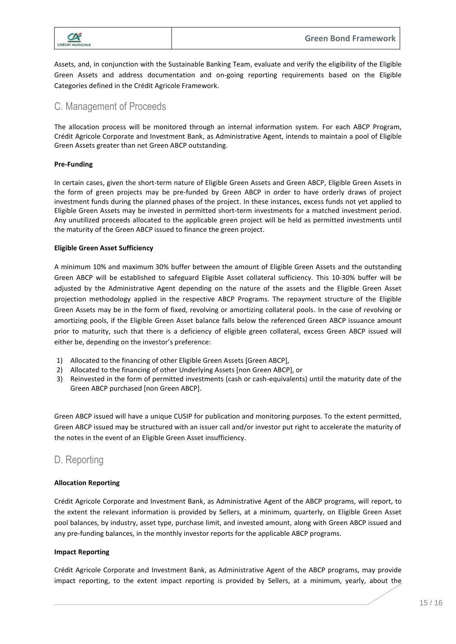

Assets, and, in conjunction with the Sustainable Banking Team, evaluate and verify the eligibility of the Eligible Green Assets and address documentation and on-going reporting requirements based on the Eligible Categories defined in the Crédit Agricole Framework.

## C. Management of Proceeds

The allocation process will be monitored through an internal information system. For each ABCP Program, Crédit Agricole Corporate and Investment Bank, as Administrative Agent, intends to maintain a pool of Eligible Green Assets greater than net Green ABCP outstanding.

#### **Pre-Funding**

In certain cases, given the short-term nature of Eligible Green Assets and Green ABCP, Eligible Green Assets in the form of green projects may be pre-funded by Green ABCP in order to have orderly draws of project investment funds during the planned phases of the project. In these instances, excess funds not yet applied to Eligible Green Assets may be invested in permitted short-term investments for a matched investment period. Any unutilized proceeds allocated to the applicable green project will be held as permitted investments until the maturity of the Green ABCP issued to finance the green project.

#### **Eligible Green Asset Sufficiency**

A minimum 10% and maximum 30% buffer between the amount of Eligible Green Assets and the outstanding Green ABCP will be established to safeguard Eligible Asset collateral sufficiency. This 10-30% buffer will be adjusted by the Administrative Agent depending on the nature of the assets and the Eligible Green Asset projection methodology applied in the respective ABCP Programs. The repayment structure of the Eligible Green Assets may be in the form of fixed, revolving or amortizing collateral pools. In the case of revolving or amortizing pools, if the Eligible Green Asset balance falls below the referenced Green ABCP issuance amount prior to maturity, such that there is a deficiency of eligible green collateral, excess Green ABCP issued will either be, depending on the investor's preference:

- 1) Allocated to the financing of other Eligible Green Assets [Green ABCP],
- 2) Allocated to the financing of other Underlying Assets [non Green ABCP], or
- 3) Reinvested in the form of permitted investments (cash or cash-equivalents) until the maturity date of the Green ABCP purchased [non Green ABCP].

Green ABCP issued will have a unique CUSIP for publication and monitoring purposes. To the extent permitted, Green ABCP issued may be structured with an issuer call and/or investor put right to accelerate the maturity of the notes in the event of an Eligible Green Asset insufficiency.

# D. Reporting

#### **Allocation Reporting**

Crédit Agricole Corporate and Investment Bank, as Administrative Agent of the ABCP programs, will report, to the extent the relevant information is provided by Sellers, at a minimum, quarterly, on Eligible Green Asset pool balances, by industry, asset type, purchase limit, and invested amount, along with Green ABCP issued and any pre-funding balances, in the monthly investor reports for the applicable ABCP programs.

#### **Impact Reporting**

Crédit Agricole Corporate and Investment Bank, as Administrative Agent of the ABCP programs, may provide impact reporting, to the extent impact reporting is provided by Sellers, at a minimum, yearly, about the